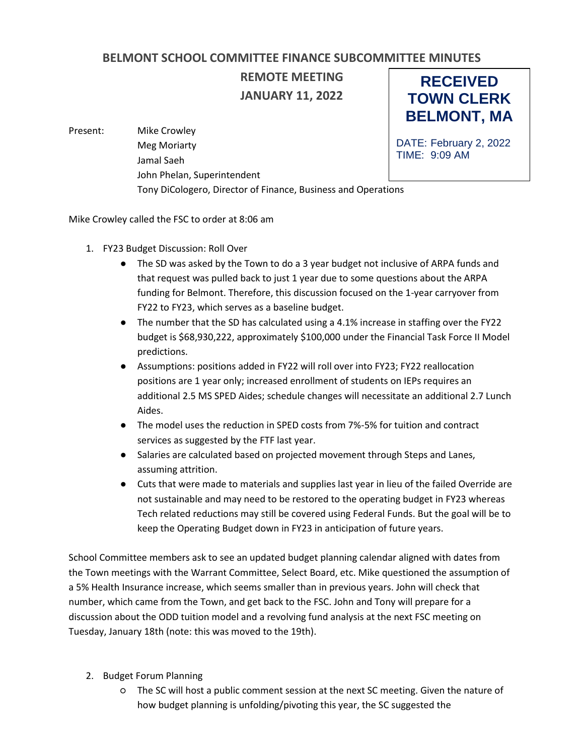## **BELMONT SCHOOL COMMITTEE FINANCE SUBCOMMITTEE MINUTES**

**REMOTE MEETING JANUARY 11, 2022**

**RECEIVED TOWN CLERK BELMONT, MA**

DATE: February 2, 2022

TIME: 9:09 AM

Present: Mike Crowley Meg Moriarty Jamal Saeh John Phelan, Superintendent Tony DiCologero, Director of Finance, Business and Operations

Mike Crowley called the FSC to order at 8:06 am

- 1. FY23 Budget Discussion: Roll Over
	- The SD was asked by the Town to do a 3 year budget not inclusive of ARPA funds and that request was pulled back to just 1 year due to some questions about the ARPA funding for Belmont. Therefore, this discussion focused on the 1-year carryover from FY22 to FY23, which serves as a baseline budget.
	- The number that the SD has calculated using a 4.1% increase in staffing over the FY22 budget is \$68,930,222, approximately \$100,000 under the Financial Task Force II Model predictions.
	- Assumptions: positions added in FY22 will roll over into FY23; FY22 reallocation positions are 1 year only; increased enrollment of students on IEPs requires an additional 2.5 MS SPED Aides; schedule changes will necessitate an additional 2.7 Lunch Aides.
	- The model uses the reduction in SPED costs from 7%-5% for tuition and contract services as suggested by the FTF last year.
	- Salaries are calculated based on projected movement through Steps and Lanes, assuming attrition.
	- Cuts that were made to materials and supplies last year in lieu of the failed Override are not sustainable and may need to be restored to the operating budget in FY23 whereas Tech related reductions may still be covered using Federal Funds. But the goal will be to keep the Operating Budget down in FY23 in anticipation of future years.

School Committee members ask to see an updated budget planning calendar aligned with dates from the Town meetings with the Warrant Committee, Select Board, etc. Mike questioned the assumption of a 5% Health Insurance increase, which seems smaller than in previous years. John will check that number, which came from the Town, and get back to the FSC. John and Tony will prepare for a discussion about the ODD tuition model and a revolving fund analysis at the next FSC meeting on Tuesday, January 18th (note: this was moved to the 19th).

- 2. Budget Forum Planning
	- The SC will host a public comment session at the next SC meeting. Given the nature of how budget planning is unfolding/pivoting this year, the SC suggested the